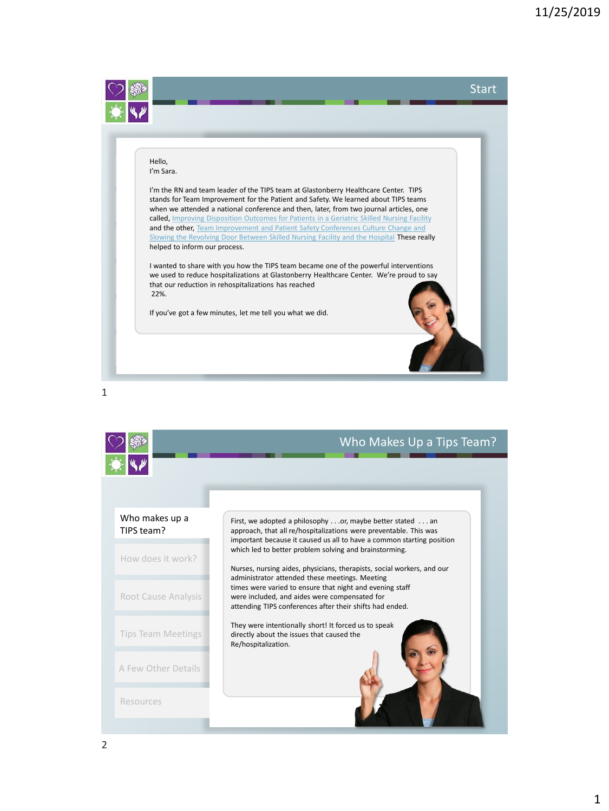<span id="page-0-0"></span>

1

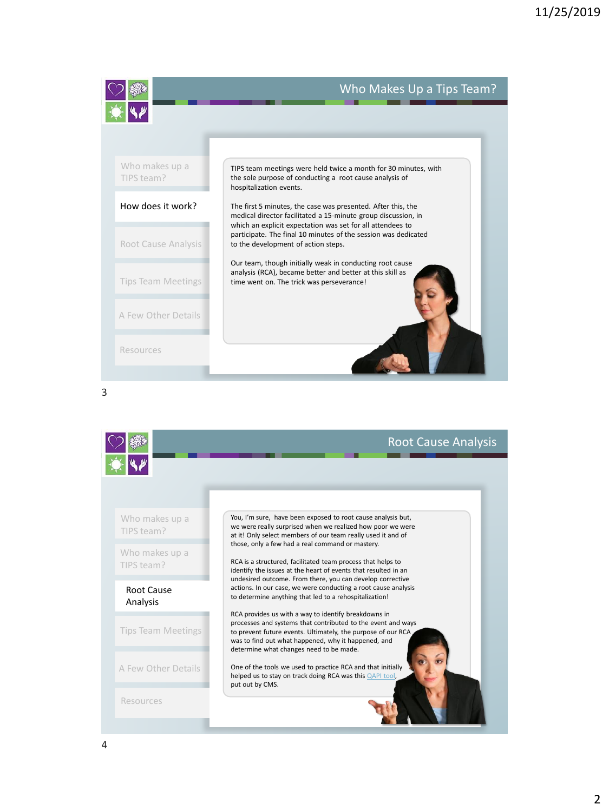<span id="page-1-0"></span>

## Who Makes Up a Tips Team?



3

|                              | <b>Root Cause Analysis</b>                                                                                                                                                                                                                                                                                                                                                                                                                                                                                                                                                                                                                                                                                                                                                                                               |
|------------------------------|--------------------------------------------------------------------------------------------------------------------------------------------------------------------------------------------------------------------------------------------------------------------------------------------------------------------------------------------------------------------------------------------------------------------------------------------------------------------------------------------------------------------------------------------------------------------------------------------------------------------------------------------------------------------------------------------------------------------------------------------------------------------------------------------------------------------------|
|                              |                                                                                                                                                                                                                                                                                                                                                                                                                                                                                                                                                                                                                                                                                                                                                                                                                          |
| Who makes up a<br>TIPS team? | You, I'm sure, have been exposed to root cause analysis but,<br>we were really surprised when we realized how poor we were<br>at it! Only select members of our team really used it and of<br>those, only a few had a real command or mastery.<br>RCA is a structured, facilitated team process that helps to<br>identify the issues at the heart of events that resulted in an<br>undesired outcome. From there, you can develop corrective<br>actions. In our case, we were conducting a root cause analysis<br>to determine anything that led to a rehospitalization!<br>RCA provides us with a way to identify breakdowns in<br>processes and systems that contributed to the event and ways<br>to prevent future events. Ultimately, the purpose of our RCA.<br>was to find out what happened, why it happened, and |
| Who makes up a<br>TIPS team? |                                                                                                                                                                                                                                                                                                                                                                                                                                                                                                                                                                                                                                                                                                                                                                                                                          |
| Root Cause<br>Analysis       |                                                                                                                                                                                                                                                                                                                                                                                                                                                                                                                                                                                                                                                                                                                                                                                                                          |
| <b>Tips Team Meetings</b>    |                                                                                                                                                                                                                                                                                                                                                                                                                                                                                                                                                                                                                                                                                                                                                                                                                          |
| A Few Other Details          | determine what changes need to be made.<br>One of the tools we used to practice RCA and that initially<br>helped us to stay on track doing RCA was this QAPI tool,<br>put out by CMS.                                                                                                                                                                                                                                                                                                                                                                                                                                                                                                                                                                                                                                    |
| Resources                    |                                                                                                                                                                                                                                                                                                                                                                                                                                                                                                                                                                                                                                                                                                                                                                                                                          |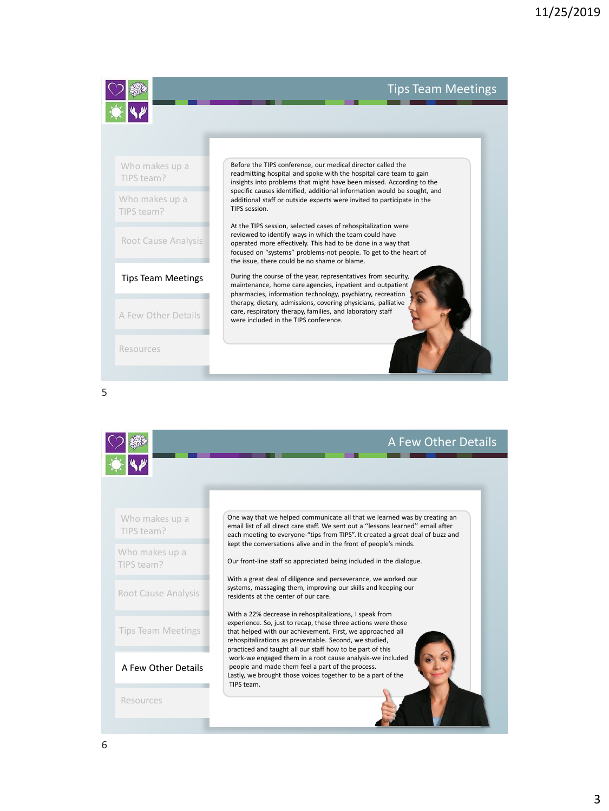## Tips Team Meetings

<span id="page-2-0"></span>

[Root Cause Analysis](#page-1-0)

[Tips Team Meetings](#page-2-0)

[A Few Other Details](#page-2-0) **care, respiratory therapy, families, and laboratory staff were included in the TIPS conference.** 

[Resources](#page-0-0)

5

|                              | A Few Other Details                                                                                                                                                                                                                                                                                                                                                                                                                                                                                          |
|------------------------------|--------------------------------------------------------------------------------------------------------------------------------------------------------------------------------------------------------------------------------------------------------------------------------------------------------------------------------------------------------------------------------------------------------------------------------------------------------------------------------------------------------------|
| Who makes up a<br>TIPS team? | One way that we helped communicate all that we learned was by creating an<br>email list of all direct care staff. We sent out a "lessons learned" email after<br>each meeting to everyone-"tips from TIPS". It created a great deal of buzz and                                                                                                                                                                                                                                                              |
| Who makes up a<br>TIPS team? | kept the conversations alive and in the front of people's minds.<br>Our front-line staff so appreciated being included in the dialogue.                                                                                                                                                                                                                                                                                                                                                                      |
| Root Cause Analysis          | With a great deal of diligence and perseverance, we worked our<br>systems, massaging them, improving our skills and keeping our<br>residents at the center of our care.                                                                                                                                                                                                                                                                                                                                      |
| <b>Tips Team Meetings</b>    | With a 22% decrease in rehospitalizations, I speak from<br>experience. So, just to recap, these three actions were those<br>that helped with our achievement. First, we approached all<br>rehospitalizations as preventable. Second, we studied,<br>practiced and taught all our staff how to be part of this<br>work-we engaged them in a root cause analysis-we included<br>people and made them feel a part of the process.<br>Lastly, we brought those voices together to be a part of the<br>TIPS team. |
| A Few Other Details          |                                                                                                                                                                                                                                                                                                                                                                                                                                                                                                              |
| Resources                    |                                                                                                                                                                                                                                                                                                                                                                                                                                                                                                              |

reviewed to identify ways in which the team could have operated more effectively. This had to be done in a way that focused on "systems" problems-not people. To get to the heart of

During the course of the year, representatives from security, maintenance, home care agencies, inpatient and outpatient pharmacies, information technology, psychiatry, recreation therapy, dietary, admissions, covering physicians, palliative

the issue, there could be no shame or blame.